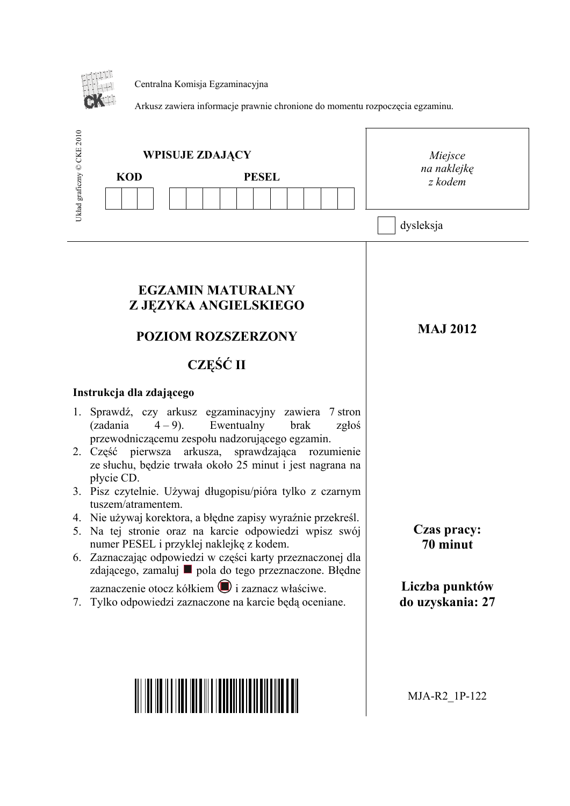

Centralna Komisja Egzaminacyjna

Arkusz zawiera informacje prawnie chronione do momentu rozpoczęcia egzaminu.

| Układ graficzny © CKE 2010<br><b>WPISUJE ZDAJĄCY</b><br><b>KOD</b><br><b>PESEL</b>                                                                                                                                                                                                                                                                                                                                                                                                                                                                                                                                                                                                                                                                                                                                                 | Miejsce<br>na naklejkę<br>z kodem<br>dysleksja                |
|------------------------------------------------------------------------------------------------------------------------------------------------------------------------------------------------------------------------------------------------------------------------------------------------------------------------------------------------------------------------------------------------------------------------------------------------------------------------------------------------------------------------------------------------------------------------------------------------------------------------------------------------------------------------------------------------------------------------------------------------------------------------------------------------------------------------------------|---------------------------------------------------------------|
| <b>EGZAMIN MATURALNY</b><br>Z JĘZYKA ANGIELSKIEGO<br><b>POZIOM ROZSZERZONY</b><br><b>CZEŚĆ II</b>                                                                                                                                                                                                                                                                                                                                                                                                                                                                                                                                                                                                                                                                                                                                  | <b>MAJ 2012</b>                                               |
| Instrukcja dla zdającego<br>Sprawdź, czy arkusz egzaminacyjny zawiera 7 stron<br>1.<br>Ewentualny<br>(zadania<br>$(4-9)$ .<br>brak<br>zgłoś<br>przewodniczącemu zespołu nadzorującego egzamin.<br>2. Część pierwsza<br>arkusza, sprawdzająca rozumienie<br>ze słuchu, będzie trwała około 25 minut i jest nagrana na<br>płycie CD.<br>3. Pisz czytelnie. Używaj długopisu/pióra tylko z czarnym<br>tuszem/atramentem.<br>4. Nie używaj korektora, a błędne zapisy wyraźnie przekreśl.<br>5. Na tej stronie oraz na karcie odpowiedzi wpisz swój<br>numer PESEL i przyklej naklejkę z kodem.<br>6. Zaznaczając odpowiedzi w części karty przeznaczonej dla<br>zdającego, zamaluj ■ pola do tego przeznaczone. Błędne<br>zaznaczenie otocz kółkiem i zaznacz właściwe.<br>Tylko odpowiedzi zaznaczone na karcie będą oceniane.<br>7. | Czas pracy:<br>70 minut<br>Liczba punktów<br>do uzyskania: 27 |
|                                                                                                                                                                                                                                                                                                                                                                                                                                                                                                                                                                                                                                                                                                                                                                                                                                    | MJA-R2 1P-122                                                 |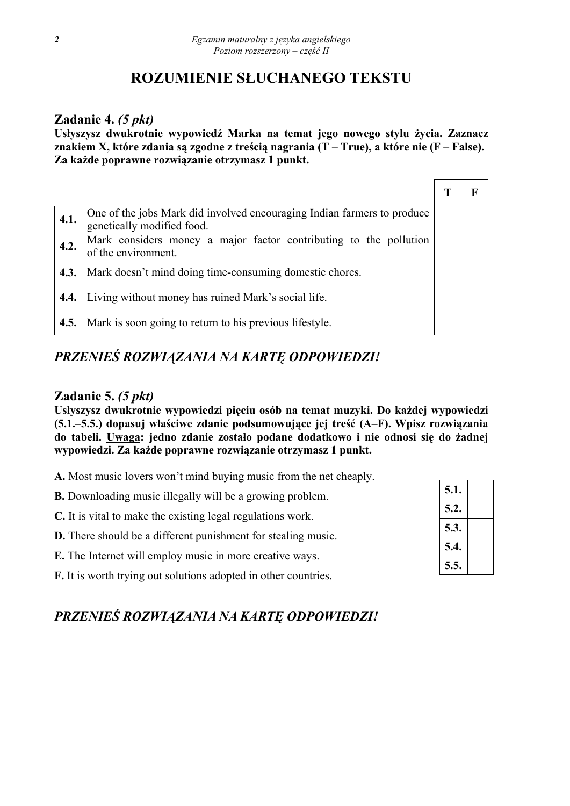# **ROZUMIENIE SŁUCHANEGO TEKSTU**

## **Zadanie 4.** *(5 pkt)*

**Usłyszysz dwukrotnie wypowiedź Marka na temat jego nowego stylu życia. Zaznacz znakiem X, które zdania są zgodne z treścią nagrania (T – True), a które nie (F – False). Za każde poprawne rozwiązanie otrzymasz 1 punkt.** 

| 4.1. | One of the jobs Mark did involved encouraging Indian farmers to produce<br>genetically modified food. |  |
|------|-------------------------------------------------------------------------------------------------------|--|
| 4.2. | Mark considers money a major factor contributing to the pollution<br>of the environment.              |  |
| 4.3. | Mark doesn't mind doing time-consuming domestic chores.                                               |  |
|      | 4.4.   Living without money has ruined Mark's social life.                                            |  |
| 4.5. | Mark is soon going to return to his previous lifestyle.                                               |  |

## *PRZENIEŚ ROZWIĄZANIA NA KARTĘ ODPOWIEDZI!*

## **Zadanie 5.** *(5 pkt)*

**Usłyszysz dwukrotnie wypowiedzi pięciu osób na temat muzyki. Do każdej wypowiedzi (5.1.–5.5.) dopasuj właściwe zdanie podsumowujące jej treść (A–F). Wpisz rozwiązania do tabeli. Uwaga: jedno zdanie zostało podane dodatkowo i nie odnosi się do żadnej wypowiedzi. Za każde poprawne rozwiązanie otrzymasz 1 punkt.** 

**A.** Most music lovers won't mind buying music from the net cheaply.

- **B.** Downloading music illegally will be a growing problem.
- **C.** It is vital to make the existing legal regulations work.
- **D.** There should be a different punishment for stealing music.
- **E.** The Internet will employ music in more creative ways.
- **F.** It is worth trying out solutions adopted in other countries.

| 5.1. |  |
|------|--|
| 5.2. |  |
| 5.3. |  |
| 5.4. |  |
| 5.5. |  |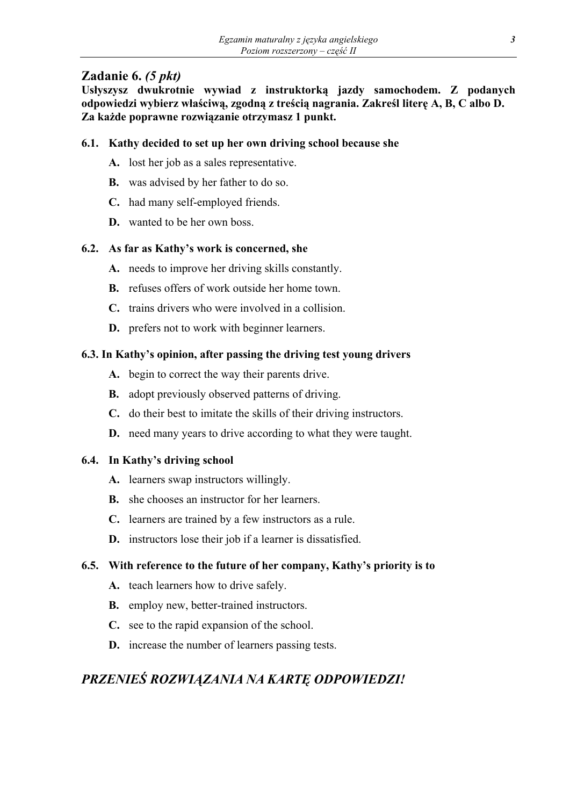## **Zadanie 6.** *(5 pkt)*

**Usłyszysz dwukrotnie wywiad z instruktorką jazdy samochodem. Z podanych odpowiedzi wybierz właściwą, zgodną z treścią nagrania. Zakreśl literę A, B, C albo D. Za każde poprawne rozwiązanie otrzymasz 1 punkt.** 

### **6.1. Kathy decided to set up her own driving school because she**

- **A.** lost her job as a sales representative.
- **B.** was advised by her father to do so.
- **C.** had many self-employed friends.
- **D.** wanted to be her own boss.

## **6.2. As far as Kathy's work is concerned, she**

- **A.** needs to improve her driving skills constantly.
- **B.** refuses offers of work outside her home town.
- **C.** trains drivers who were involved in a collision.
- **D.** prefers not to work with beginner learners.

## **6.3. In Kathy's opinion, after passing the driving test young drivers**

- **A.** begin to correct the way their parents drive.
- **B.** adopt previously observed patterns of driving.
- **C.** do their best to imitate the skills of their driving instructors.
- **D.** need many years to drive according to what they were taught.

### **6.4. In Kathy's driving school**

- **A.** learners swap instructors willingly.
- **B.** she chooses an instructor for her learners.
- **C.** learners are trained by a few instructors as a rule.
- **D.** instructors lose their job if a learner is dissatisfied.

## **6.5. With reference to the future of her company, Kathy's priority is to**

- **A.** teach learners how to drive safely.
- **B.** employ new, better-trained instructors.
- **C.** see to the rapid expansion of the school.
- **D.** increase the number of learners passing tests.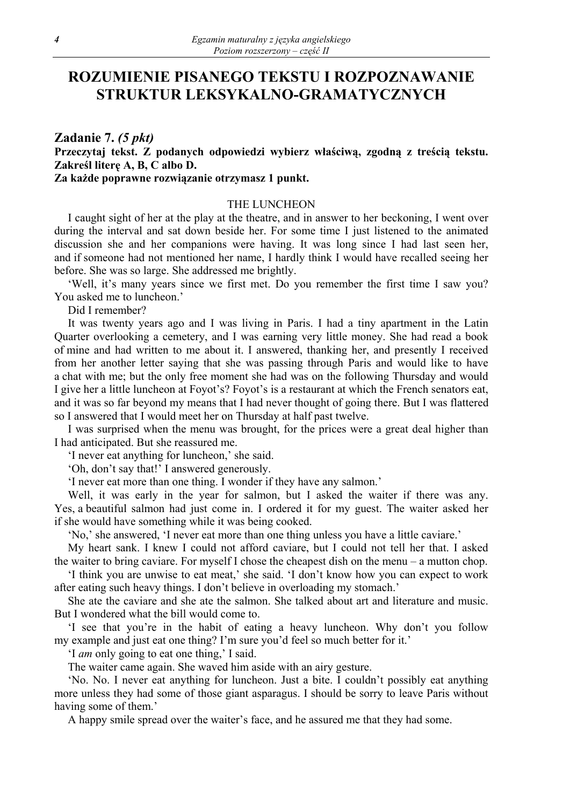## **ROZUMIENIE PISANEGO TEKSTU I ROZPOZNAWANIE STRUKTUR LEKSYKALNO-GRAMATYCZNYCH**

## **Zadanie 7.** *(5 pkt)* **Przeczytaj tekst. Z podanych odpowiedzi wybierz właściwą, zgodną z treścią tekstu. Zakreśl literę A, B, C albo D.**

#### **Za każde poprawne rozwiązanie otrzymasz 1 punkt.**

#### THE LUNCHEON

I caught sight of her at the play at the theatre, and in answer to her beckoning, I went over during the interval and sat down beside her. For some time I just listened to the animated discussion she and her companions were having. It was long since I had last seen her, and if someone had not mentioned her name, I hardly think I would have recalled seeing her before. She was so large. She addressed me brightly.

'Well, it's many years since we first met. Do you remember the first time I saw you? You asked me to luncheon.'

Did I remember?

It was twenty years ago and I was living in Paris. I had a tiny apartment in the Latin Quarter overlooking a cemetery, and I was earning very little money. She had read a book of mine and had written to me about it. I answered, thanking her, and presently I received from her another letter saying that she was passing through Paris and would like to have a chat with me; but the only free moment she had was on the following Thursday and would I give her a little luncheon at Foyot's? Foyot's is a restaurant at which the French senators eat, and it was so far beyond my means that I had never thought of going there. But I was flattered so I answered that I would meet her on Thursday at half past twelve.

I was surprised when the menu was brought, for the prices were a great deal higher than I had anticipated. But she reassured me.

'I never eat anything for luncheon,' she said.

'Oh, don't say that!' I answered generously.

'I never eat more than one thing. I wonder if they have any salmon.'

Well, it was early in the year for salmon, but I asked the waiter if there was any. Yes, a beautiful salmon had just come in. I ordered it for my guest. The waiter asked her if she would have something while it was being cooked.

'No,' she answered, 'I never eat more than one thing unless you have a little caviare.'

My heart sank. I knew I could not afford caviare, but I could not tell her that. I asked the waiter to bring caviare. For myself I chose the cheapest dish on the menu – a mutton chop.

'I think you are unwise to eat meat,' she said. 'I don't know how you can expect to work after eating such heavy things. I don't believe in overloading my stomach.'

She ate the caviare and she ate the salmon. She talked about art and literature and music. But I wondered what the bill would come to.

'I see that you're in the habit of eating a heavy luncheon. Why don't you follow my example and just eat one thing? I'm sure you'd feel so much better for it.'

'I *am* only going to eat one thing,' I said.

The waiter came again. She waved him aside with an airy gesture.

'No. No. I never eat anything for luncheon. Just a bite. I couldn't possibly eat anything more unless they had some of those giant asparagus. I should be sorry to leave Paris without having some of them.'

A happy smile spread over the waiter's face, and he assured me that they had some.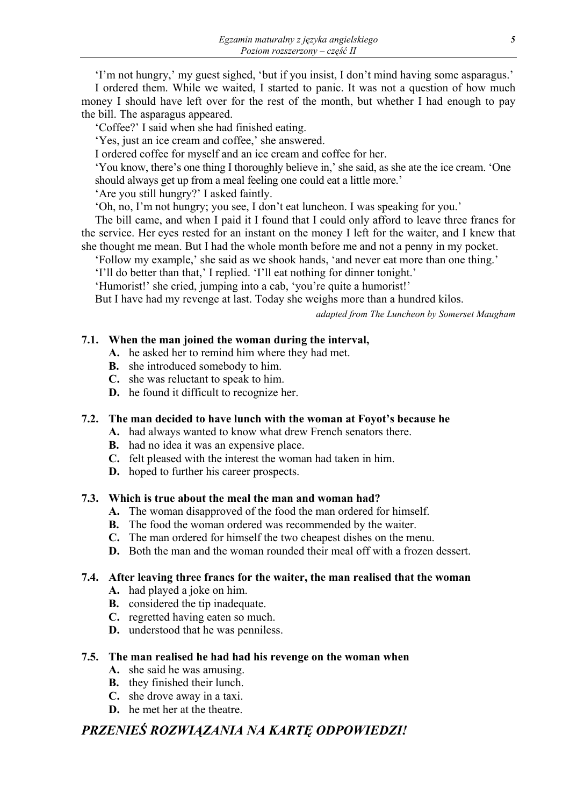'I'm not hungry,' my guest sighed, 'but if you insist, I don't mind having some asparagus.'

I ordered them. While we waited, I started to panic. It was not a question of how much money I should have left over for the rest of the month, but whether I had enough to pay the bill. The asparagus appeared.

'Coffee?' I said when she had finished eating.

'Yes, just an ice cream and coffee,' she answered.

I ordered coffee for myself and an ice cream and coffee for her.

'You know, there's one thing I thoroughly believe in,' she said, as she ate the ice cream. 'One should always get up from a meal feeling one could eat a little more.'

'Are you still hungry?' I asked faintly.

'Oh, no, I'm not hungry; you see, I don't eat luncheon. I was speaking for you.'

The bill came, and when I paid it I found that I could only afford to leave three francs for the service. Her eyes rested for an instant on the money I left for the waiter, and I knew that she thought me mean. But I had the whole month before me and not a penny in my pocket.

'Follow my example,' she said as we shook hands, 'and never eat more than one thing.'

'I'll do better than that,' I replied. 'I'll eat nothing for dinner tonight.'

'Humorist!' she cried, jumping into a cab, 'you're quite a humorist!'

But I have had my revenge at last. Today she weighs more than a hundred kilos.

*adapted from The Luncheon by Somerset Maugham* 

### **7.1. When the man joined the woman during the interval,**

- **A.** he asked her to remind him where they had met.
- **B.** she introduced somebody to him.
- **C.** she was reluctant to speak to him.
- **D.** he found it difficult to recognize her.

### **7.2. The man decided to have lunch with the woman at Foyot's because he**

- **A.** had always wanted to know what drew French senators there.
	- **B.** had no idea it was an expensive place.
	- **C.** felt pleased with the interest the woman had taken in him.
	- **D.** hoped to further his career prospects.

#### **7.3. Which is true about the meal the man and woman had?**

- **A.** The woman disapproved of the food the man ordered for himself.
- **B.** The food the woman ordered was recommended by the waiter.
- **C.** The man ordered for himself the two cheapest dishes on the menu.
- **D.** Both the man and the woman rounded their meal off with a frozen dessert.

### **7.4. After leaving three francs for the waiter, the man realised that the woman**

- **A.** had played a joke on him.
- **B.** considered the tip inadequate.
- **C.** regretted having eaten so much.
- **D.** understood that he was penniless.

#### **7.5. The man realised he had had his revenge on the woman when**

- **A.** she said he was amusing.
- **B.** they finished their lunch.
- **C.** she drove away in a taxi.
- **D.** he met her at the theatre.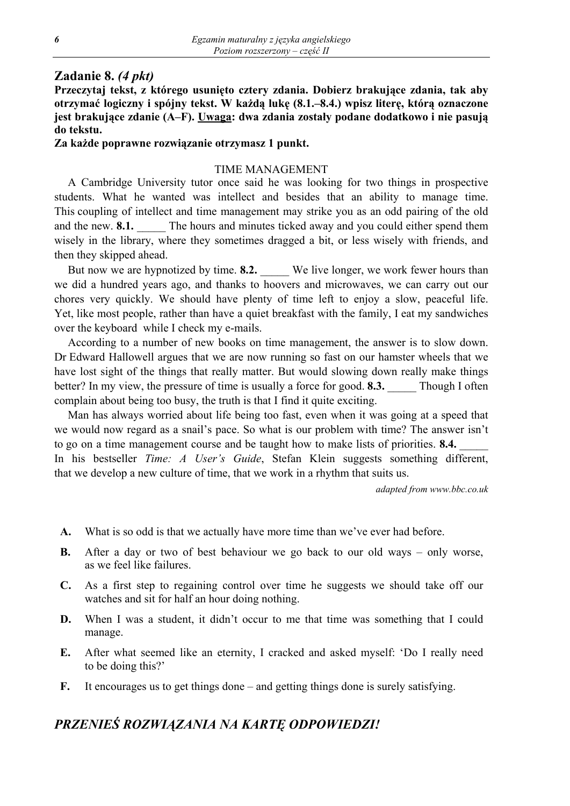### **Zadanie 8.** *(4 pkt)*

**Przeczytaj tekst, z którego usunięto cztery zdania. Dobierz brakujące zdania, tak aby otrzymać logiczny i spójny tekst. W każdą lukę (8.1.–8.4.) wpisz literę, którą oznaczone jest brakujące zdanie (A–F). Uwaga: dwa zdania zostały podane dodatkowo i nie pasują do tekstu.** 

#### **Za każde poprawne rozwiązanie otrzymasz 1 punkt.**

#### TIME MANAGEMENT

A Cambridge University tutor once said he was looking for two things in prospective students. What he wanted was intellect and besides that an ability to manage time. This coupling of intellect and time management may strike you as an odd pairing of the old and the new. **8.1.** The hours and minutes ticked away and you could either spend them wisely in the library, where they sometimes dragged a bit, or less wisely with friends, and then they skipped ahead.

But now we are hypnotized by time. **8.2.** We live longer, we work fewer hours than we did a hundred years ago, and thanks to hoovers and microwaves, we can carry out our chores very quickly. We should have plenty of time left to enjoy a slow, peaceful life. Yet, like most people, rather than have a quiet breakfast with the family, I eat my sandwiches over the keyboard while I check my e-mails.

According to a number of new books on time management, the answer is to slow down. Dr Edward Hallowell argues that we are now running so fast on our hamster wheels that we have lost sight of the things that really matter. But would slowing down really make things better? In my view, the pressure of time is usually a force for good. **8.3.** Though I often complain about being too busy, the truth is that I find it quite exciting.

Man has always worried about life being too fast, even when it was going at a speed that we would now regard as a snail's pace. So what is our problem with time? The answer isn't to go on a time management course and be taught how to make lists of priorities. **8.4.** In his bestseller *Time: A User's Guide*, Stefan Klein suggests something different, that we develop a new culture of time, that we work in a rhythm that suits us.

*adapted from www.bbc.co.uk*

- **A.** What is so odd is that we actually have more time than we've ever had before.
- **B.** After a day or two of best behaviour we go back to our old ways only worse, as we feel like failures.
- **C.** As a first step to regaining control over time he suggests we should take off our watches and sit for half an hour doing nothing.
- **D.** When I was a student, it didn't occur to me that time was something that I could manage.
- **E.** After what seemed like an eternity, I cracked and asked myself: 'Do I really need to be doing this?'
- **F.** It encourages us to get things done and getting things done is surely satisfying.